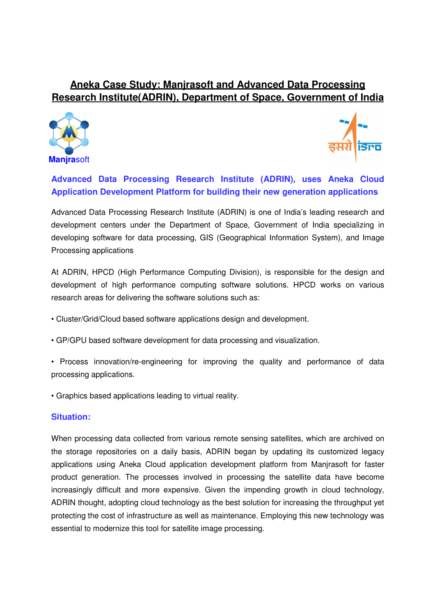# **Aneka Case Study: Manjrasoft and Advanced Data Processing Research Institute(ADRIN), Department of Space, Government of India**





**Advanced Data Processing Research Institute (ADRIN), uses Aneka Cloud Application Development Platform for building their new generation applications**

Advanced Data Processing Research Institute (ADRIN) is one of India's leading research and development centers under the Department of Space, Government of India specializing in developing software for data processing, GIS (Geographical Information System), and Image Processing applications

At ADRIN, HPCD (High Performance Computing Division), is responsible for the design and development of high performance computing software solutions. HPCD works on various research areas for delivering the software solutions such as:

- Cluster/Grid/Cloud based software applications design and development.
- GP/GPU based software development for data processing and visualization.
- Process innovation/re-engineering for improving the quality and performance of data processing applications.
- Graphics based applications leading to virtual reality.

## **Situation:**

When processing data collected from various remote sensing satellites, which are archived on the storage repositories on a daily basis, ADRIN began by updating its customized legacy applications using Aneka Cloud application development platform from Manjrasoft for faster product generation. The processes involved in processing the satellite data have become increasingly difficult and more expensive. Given the impending growth in cloud technology, ADRIN thought, adopting cloud technology as the best solution for increasing the throughput yet protecting the cost of infrastructure as well as maintenance. Employing this new technology was essential to modernize this tool for satellite image processing.